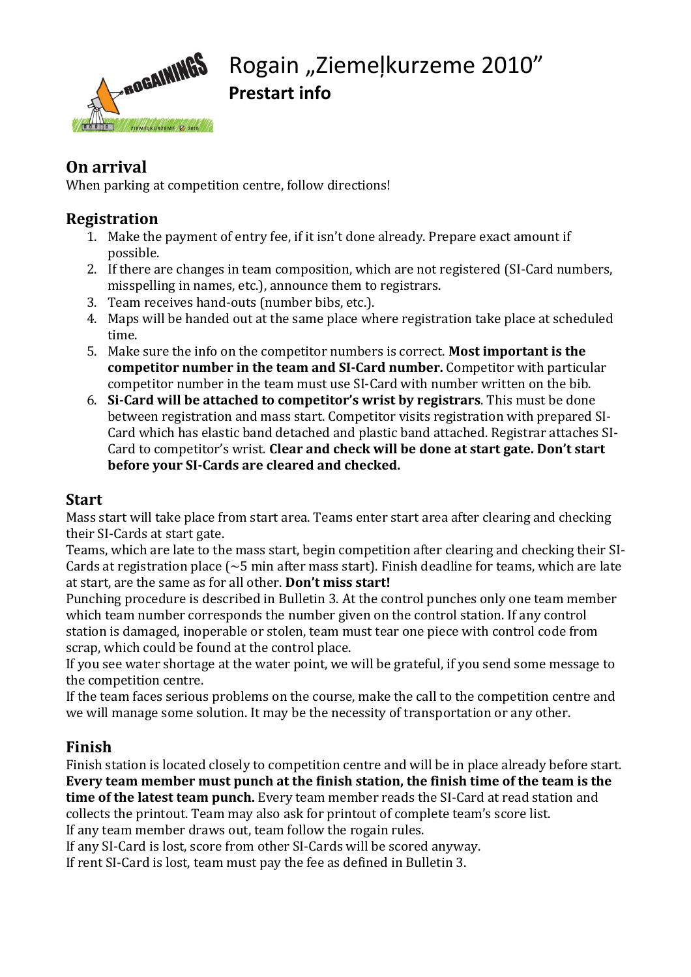

### **On arrival**

When parking at competition centre, follow directions!

#### **Registration**

- 1. Make the payment of entry fee, if it isn't done already. Prepare exact amount if possible.
- 2. If there are changes in team composition, which are not registered (SI-Card numbers, misspelling in names, etc.), announce them to registrars.
- 3. Team receives hand-outs (number bibs, etc.).
- 4. Maps will be handed out at the same place where registration take place at scheduled time.
- 5. Make sure the info on the competitor numbers is correct. **Most important is the competitor number in the team and SI-Card number.** Competitor with particular competitor number in the team must use SI-Card with number written on the bib.
- 6. **Si-Card will be attached to competitor's wrist by registrars**. This must be done between registration and mass start. Competitor visits registration with prepared SI-Card which has elastic band detached and plastic band attached. Registrar attaches SI-Card to competitor's wrist. **Clear and check will be done at start gate. Don't start before your SI-Cards are cleared and checked.**

#### **Start**

Mass start will take place from start area. Teams enter start area after clearing and checking their SI-Cards at start gate.

Teams, which are late to the mass start, begin competition after clearing and checking their SI-Cards at registration place ( $\sim$ 5 min after mass start). Finish deadline for teams, which are late at start, are the same as for all other. **Don't miss start!**

Punching procedure is described in Bulletin 3. At the control punches only one team member which team number corresponds the number given on the control station. If any control station is damaged, inoperable or stolen, team must tear one piece with control code from scrap, which could be found at the control place.

If you see water shortage at the water point, we will be grateful, if you send some message to the competition centre.

If the team faces serious problems on the course, make the call to the competition centre and we will manage some solution. It may be the necessity of transportation or any other.

#### **Finish**

Finish station is located closely to competition centre and will be in place already before start. **Every team member must punch at the finish station, the finish time of the team is the time of the latest team punch.** Every team member reads the SI-Card at read station and collects the printout. Team may also ask for printout of complete team's score list. If any team member draws out, team follow the rogain rules.

If any SI-Card is lost, score from other SI-Cards will be scored anyway.

If rent SI-Card is lost, team must pay the fee as defined in Bulletin 3.